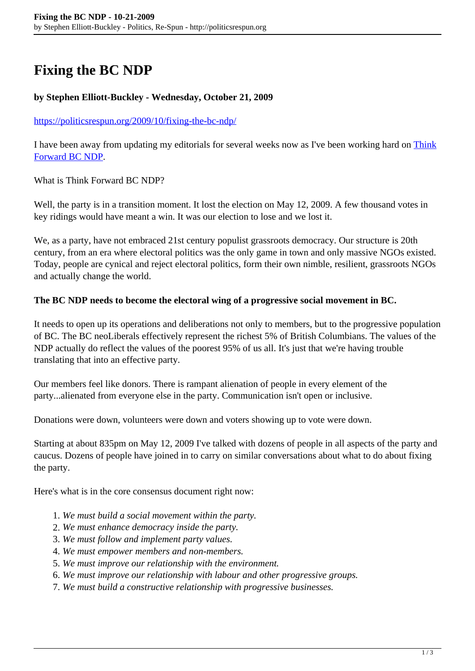# **Fixing the BC NDP**

## **by Stephen Elliott-Buckley - Wednesday, October 21, 2009**

#### <https://politicsrespun.org/2009/10/fixing-the-bc-ndp/>

I have been away from updating my editorials for several weeks now as I've been working hard on [Think](http://thinkforwardbcndp.wordpress.com/) [Forward BC NDP](http://thinkforwardbcndp.wordpress.com/).

What is Think Forward BC NDP?

Well, the party is in a transition moment. It lost the election on May 12, 2009. A few thousand votes in key ridings would have meant a win. It was our election to lose and we lost it.

We, as a party, have not embraced 21st century populist grassroots democracy. Our structure is 20th century, from an era where electoral politics was the only game in town and only massive NGOs existed. Today, people are cynical and reject electoral politics, form their own nimble, resilient, grassroots NGOs and actually change the world.

#### **The BC NDP needs to become the electoral wing of a progressive social movement in BC.**

It needs to open up its operations and deliberations not only to members, but to the progressive population of BC. The BC neoLiberals effectively represent the richest 5% of British Columbians. The values of the NDP actually do reflect the values of the poorest 95% of us all. It's just that we're having trouble translating that into an effective party.

Our members feel like donors. There is rampant alienation of people in every element of the party...alienated from everyone else in the party. Communication isn't open or inclusive.

Donations were down, volunteers were down and voters showing up to vote were down.

Starting at about 835pm on May 12, 2009 I've talked with dozens of people in all aspects of the party and caucus. Dozens of people have joined in to carry on similar conversations about what to do about fixing the party.

Here's what is in the core consensus document right now:

- 1. *We must build a social movement within the party.*
- 2. *We must enhance democracy inside the party.*
- 3. *We must follow and implement party values.*
- 4. *We must empower members and non-members.*
- 5. *We must improve our relationship with the environment.*
- 6. *We must improve our relationship with labour and other progressive groups.*
- 7. *We must build a constructive relationship with progressive businesses.*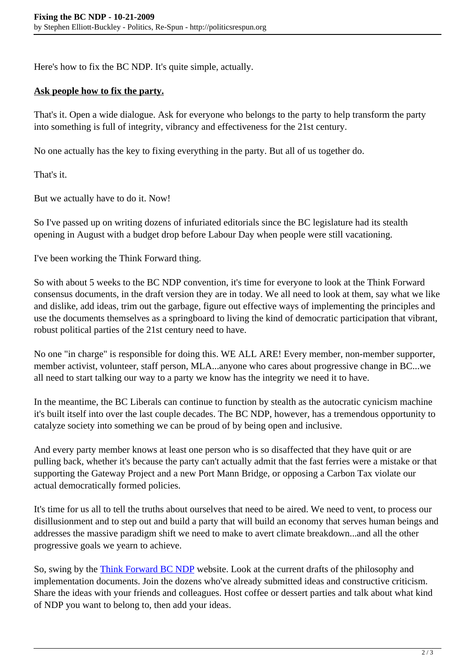Here's how to fix the BC NDP. It's quite simple, actually.

### **Ask people how to fix the party.**

That's it. Open a wide dialogue. Ask for everyone who belongs to the party to help transform the party into something is full of integrity, vibrancy and effectiveness for the 21st century.

No one actually has the key to fixing everything in the party. But all of us together do.

That's it.

But we actually have to do it. Now!

So I've passed up on writing dozens of infuriated editorials since the BC legislature had its stealth opening in August with a budget drop before Labour Day when people were still vacationing.

I've been working the Think Forward thing.

So with about 5 weeks to the BC NDP convention, it's time for everyone to look at the Think Forward consensus documents, in the draft version they are in today. We all need to look at them, say what we like and dislike, add ideas, trim out the garbage, figure out effective ways of implementing the principles and use the documents themselves as a springboard to living the kind of democratic participation that vibrant, robust political parties of the 21st century need to have.

No one "in charge" is responsible for doing this. WE ALL ARE! Every member, non-member supporter, member activist, volunteer, staff person, MLA...anyone who cares about progressive change in BC...we all need to start talking our way to a party we know has the integrity we need it to have.

In the meantime, the BC Liberals can continue to function by stealth as the autocratic cynicism machine it's built itself into over the last couple decades. The BC NDP, however, has a tremendous opportunity to catalyze society into something we can be proud of by being open and inclusive.

And every party member knows at least one person who is so disaffected that they have quit or are pulling back, whether it's because the party can't actually admit that the fast ferries were a mistake or that supporting the Gateway Project and a new Port Mann Bridge, or opposing a Carbon Tax violate our actual democratically formed policies.

It's time for us all to tell the truths about ourselves that need to be aired. We need to vent, to process our disillusionment and to step out and build a party that will build an economy that serves human beings and addresses the massive paradigm shift we need to make to avert climate breakdown...and all the other progressive goals we yearn to achieve.

So, swing by the [Think Forward BC NDP](http://thinkforwardbcndp.wordpress.com/) website. Look at the current drafts of the philosophy and implementation documents. Join the dozens who've already submitted ideas and constructive criticism. Share the ideas with your friends and colleagues. Host coffee or dessert parties and talk about what kind of NDP you want to belong to, then add your ideas.